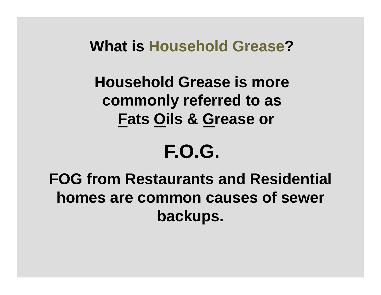#### **What is Household Grease ?**

# **Household Grease is more commonly referred to as Fats Oils & Grease or**

# **F.O.G.**

## **FOG from Restaurants and Residential homes are common causes of sewer backups.**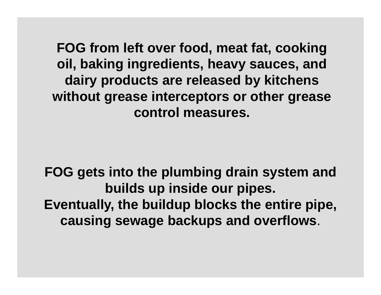**FOG from left over food, meat fat, cooking oil, baking ingredients, heavy sauces, and dairy products are released by kitchens without grease interceptors or other grease control measures.**

**FOG gets into the plumbing drain system and builds up inside our pipes. Eventually, the buildup blocks the entire pipe, causing sewage backups and overflows**.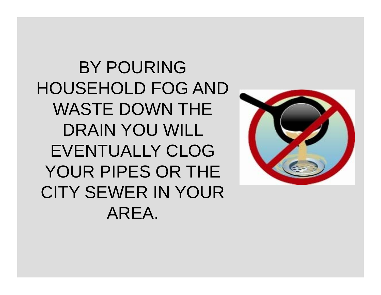BY POURING HOUSEHOLD FOG AND WASTE DOWN THE DRAIN YOU WILL EVENTUALLY CLOG YOUR PIPES OR THE CITY SEWER IN YOUR AREA.

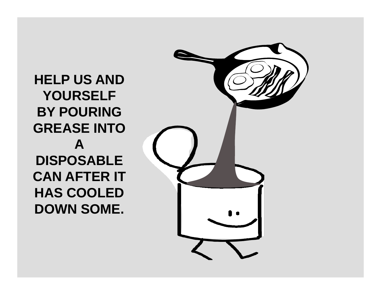**HELP US AND YOURSELF BY POURING GREASE INTO ADISPOSABLE CAN AFTER ITHAS COOLED DOWN SOME.**

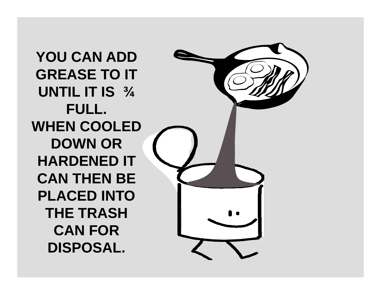**YOU CAN ADD GREASE TO IT UNTIL IT IS ¾ FULL. WHEN COOLED DOWN OR HARDENED IT CAN THEN BE PLACED INTO THE TRASH CAN FOR DISPOSAL.**

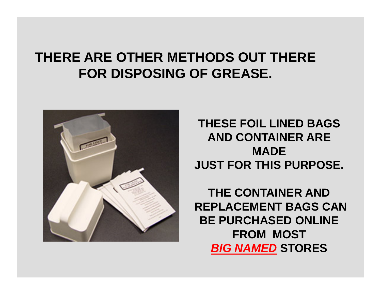#### **THERE ARE OTHER METHODS OUT THERE FOR DISPOSING OF GREASE.**



**THESE FOIL LINED BAGS AND CONTAINER ARE MADEJUST FOR THIS PURPOSE.**

**THE CONTAINER ANDREPLACEMENT BAGS CAN BE PURCHASED ONLINE FROM MOST**  *BIG NAMED* **STORES**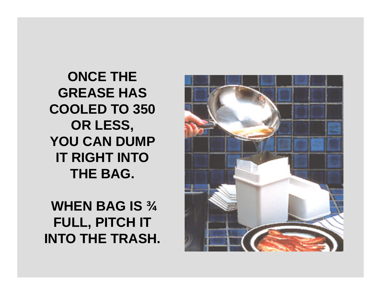**ONCE THE GREASE HAS COOLED TO 350 OR LESS,** YOU CAN DUMP **IT RIGHT INTO THE BAG.**

**WHEN BAG IS ¾ FULL, PITCH IT INTO THE TRASH.**